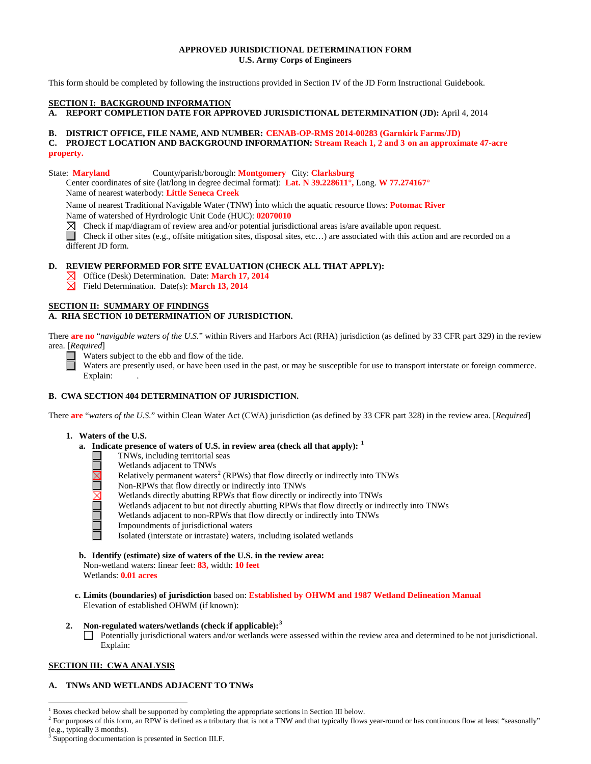### **APPROVED JURISDICTIONAL DETERMINATION FORM U.S. Army Corps of Engineers**

This form should be completed by following the instructions provided in Section IV of the JD Form Instructional Guidebook.

#### **SECTION I: BACKGROUND INFORMATION**

**A. REPORT COMPLETION DATE FOR APPROVED JURISDICTIONAL DETERMINATION (JD):** April 4, 2014

#### **B. DISTRICT OFFICE, FILE NAME, AND NUMBER: CENAB-OP-RMS 2014-00283 (Garnkirk Farms/JD)**

### **C. PROJECT LOCATION AND BACKGROUND INFORMATION: Stream Reach 1, 2 and 3 on an approximate 47-acre property.**

State: **Maryland** County/parish/borough: **Montgomery** City: **Clarksburg**

Center coordinates of site (lat/long in degree decimal format): **Lat. N 39.228611°,** Long. **W 77.274167°**  Name of nearest waterbody: **Little Seneca Creek**

Name of nearest Traditional Navigable Water (TNW) into which the aquatic resource flows: **Potomac River** Name of watershed of Hyrdrologic Unit Code (HUC): **02070010**

⊠ Check if map/diagram of review area and/or potential jurisdictional areas is/are available upon request.

Check if other sites (e.g., offsite mitigation sites, disposal sites, etc...) are associated with this action and are recorded on a different JD form.

## **D. REVIEW PERFORMED FOR SITE EVALUATION (CHECK ALL THAT APPLY):**

Office (Desk) Determination. Date: **March 17, 2014**

Field Determination. Date(s): **March 13, 2014**

## **SECTION II: SUMMARY OF FINDINGS**

## **A. RHA SECTION 10 DETERMINATION OF JURISDICTION.**

There **are no** "*navigable waters of the U.S.*" within Rivers and Harbors Act (RHA) jurisdiction (as defined by 33 CFR part 329) in the review area. [*Required*]

Waters subject to the ebb and flow of the tide.

Waters are presently used, or have been used in the past, or may be susceptible for use to transport interstate or foreign commerce. Explain:

# **B. CWA SECTION 404 DETERMINATION OF JURISDICTION.**

There **are** "*waters of the U.S.*" within Clean Water Act (CWA) jurisdiction (as defined by 33 CFR part 328) in the review area. [*Required*]

- **1. Waters of the U.S.**
	- **a. Indicate presence of waters of U.S. in review area (check all that apply): [1](#page-0-0)**
		- TNWs, including territorial seas
		- Wetlands adjacent to TNWs
		- Relatively permanent waters<sup>[2](#page-0-1)</sup> (RPWs) that flow directly or indirectly into TNWs
		- Non-RPWs that flow directly or indirectly into TNWs
			- Wetlands directly abutting RPWs that flow directly or indirectly into TNWs
			- Wetlands adjacent to but not directly abutting RPWs that flow directly or indirectly into TNWs
			- Wetlands adjacent to non-RPWs that flow directly or indirectly into TNWs
			- Impoundments of jurisdictional waters

Isolated (interstate or intrastate) waters, including isolated wetlands

**b. Identify (estimate) size of waters of the U.S. in the review area:**

Non-wetland waters: linear feet: **83,** width: **10 feet** Wetlands: **0.01 acres**

- **c. Limits (boundaries) of jurisdiction** based on: **Established by OHWM and 1987 Wetland Delineation Manual** Elevation of established OHWM (if known):
- **2. Non-regulated waters/wetlands (check if applicable): [3](#page-0-2)**

Potentially jurisdictional waters and/or wetlands were assessed within the review area and determined to be not jurisdictional. Explain:

### **SECTION III: CWA ANALYSIS**

### **A. TNWs AND WETLANDS ADJACENT TO TNWs**

<sup>&</sup>lt;sup>1</sup> Boxes checked below shall be supported by completing the appropriate sections in Section III below.

<span id="page-0-1"></span><span id="page-0-0"></span><sup>&</sup>lt;sup>2</sup> For purposes of this form, an RPW is defined as a tributary that is not a TNW and that typically flows year-round or has continuous flow at least "seasonally" (e.g., typically 3 months).

<span id="page-0-2"></span>Supporting documentation is presented in Section III.F.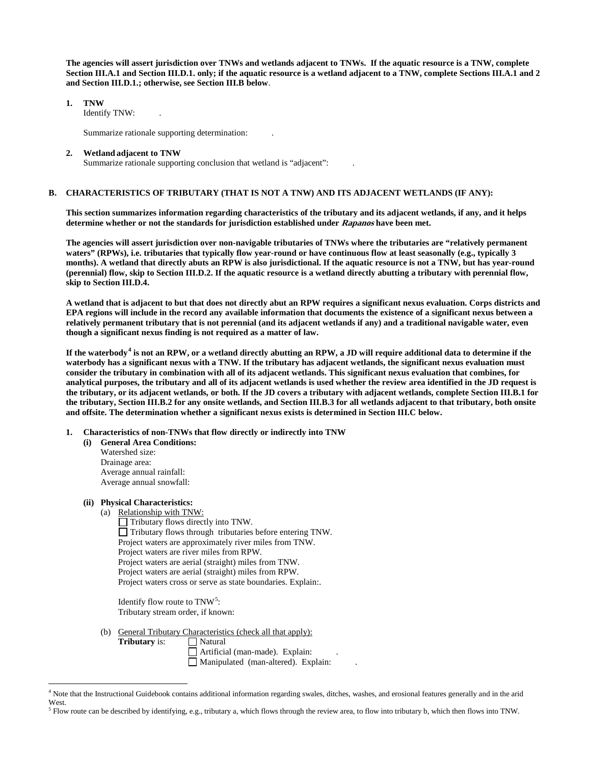**The agencies will assert jurisdiction over TNWs and wetlands adjacent to TNWs. If the aquatic resource is a TNW, complete Section III.A.1 and Section III.D.1. only; if the aquatic resource is a wetland adjacent to a TNW, complete Sections III.A.1 and 2 and Section III.D.1.; otherwise, see Section III.B below**.

**1. TNW** 

Identify TNW: .

Summarize rationale supporting determination: .

#### **2. Wetland adjacent to TNW**

Summarize rationale supporting conclusion that wetland is "adjacent": .

#### **B. CHARACTERISTICS OF TRIBUTARY (THAT IS NOT A TNW) AND ITS ADJACENT WETLANDS (IF ANY):**

**This section summarizes information regarding characteristics of the tributary and its adjacent wetlands, if any, and it helps determine whether or not the standards for jurisdiction established under Rapanos have been met.** 

**The agencies will assert jurisdiction over non-navigable tributaries of TNWs where the tributaries are "relatively permanent waters" (RPWs), i.e. tributaries that typically flow year-round or have continuous flow at least seasonally (e.g., typically 3 months). A wetland that directly abuts an RPW is also jurisdictional. If the aquatic resource is not a TNW, but has year-round (perennial) flow, skip to Section III.D.2. If the aquatic resource is a wetland directly abutting a tributary with perennial flow, skip to Section III.D.4.**

**A wetland that is adjacent to but that does not directly abut an RPW requires a significant nexus evaluation. Corps districts and EPA regions will include in the record any available information that documents the existence of a significant nexus between a relatively permanent tributary that is not perennial (and its adjacent wetlands if any) and a traditional navigable water, even though a significant nexus finding is not required as a matter of law.**

**If the waterbody[4](#page-1-0) is not an RPW, or a wetland directly abutting an RPW, a JD will require additional data to determine if the waterbody has a significant nexus with a TNW. If the tributary has adjacent wetlands, the significant nexus evaluation must consider the tributary in combination with all of its adjacent wetlands. This significant nexus evaluation that combines, for analytical purposes, the tributary and all of its adjacent wetlands is used whether the review area identified in the JD request is the tributary, or its adjacent wetlands, or both. If the JD covers a tributary with adjacent wetlands, complete Section III.B.1 for the tributary, Section III.B.2 for any onsite wetlands, and Section III.B.3 for all wetlands adjacent to that tributary, both onsite and offsite. The determination whether a significant nexus exists is determined in Section III.C below.**

- **1. Characteristics of non-TNWs that flow directly or indirectly into TNW**
	- **(i) General Area Conditions:** Watershed size: Drainage area: Average annual rainfall: Average annual snowfall:

#### **(ii) Physical Characteristics:**

(a) Relationship with TNW:

 $\Box$  Tributary flows directly into TNW. Tributary flows through tributaries before entering TNW. Project waters are approximately river miles from TNW. Project waters are river miles from RPW. Project waters are aerial (straight) miles from TNW. Project waters are aerial (straight) miles from RPW. Project waters cross or serve as state boundaries. Explain:.

Identify flow route to  $TNW<sup>5</sup>$  $TNW<sup>5</sup>$  $TNW<sup>5</sup>$ : Tributary stream order, if known:

(b) General Tributary Characteristics (check all that apply):<br> **Tributary** is:  $\Box$  Natural **Tributary** is:

Artificial (man-made). Explain: . Manipulated (man-altered). Explain:

<span id="page-1-0"></span> <sup>4</sup> Note that the Instructional Guidebook contains additional information regarding swales, ditches, washes, and erosional features generally and in the arid West.

<span id="page-1-1"></span> $<sup>5</sup>$  Flow route can be described by identifying, e.g., tributary a, which flows through the review area, to flow into tributary b, which then flows into TNW.</sup>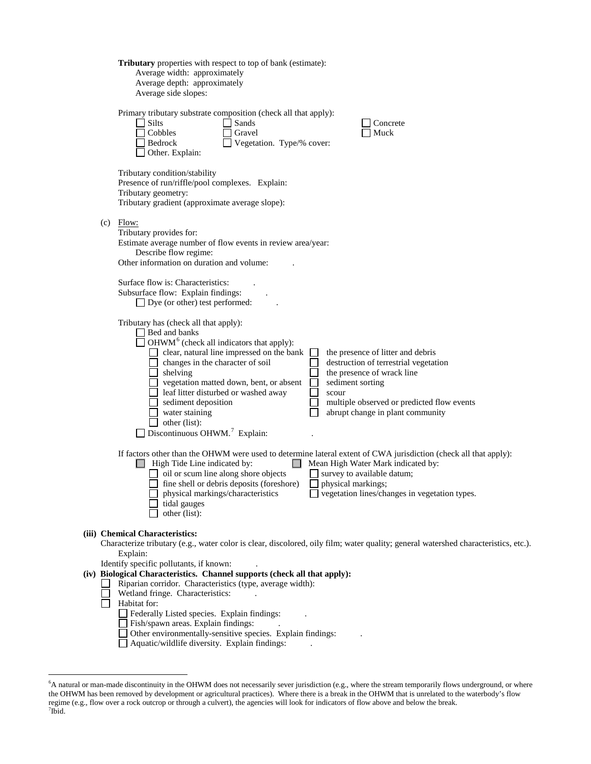|     | Tributary properties with respect to top of bank (estimate):<br>Average width: approximately<br>Average depth: approximately<br>Average side slopes:                                                                                                                                                                                                                                                                                                                                                                                                                                                                                           |
|-----|------------------------------------------------------------------------------------------------------------------------------------------------------------------------------------------------------------------------------------------------------------------------------------------------------------------------------------------------------------------------------------------------------------------------------------------------------------------------------------------------------------------------------------------------------------------------------------------------------------------------------------------------|
|     | Primary tributary substrate composition (check all that apply):<br><b>Silts</b><br>Sands<br>Concrete<br>Cobbles<br>Muck<br>Gravel<br>Bedrock<br>Vegetation. Type/% cover:<br>Other. Explain:                                                                                                                                                                                                                                                                                                                                                                                                                                                   |
|     | Tributary condition/stability<br>Presence of run/riffle/pool complexes. Explain:<br>Tributary geometry:<br>Tributary gradient (approximate average slope):                                                                                                                                                                                                                                                                                                                                                                                                                                                                                     |
| (c) | Flow:<br>Tributary provides for:<br>Estimate average number of flow events in review area/year:<br>Describe flow regime:<br>Other information on duration and volume:                                                                                                                                                                                                                                                                                                                                                                                                                                                                          |
|     | Surface flow is: Characteristics:<br>Subsurface flow: Explain findings:<br>$\Box$ Dye (or other) test performed:                                                                                                                                                                                                                                                                                                                                                                                                                                                                                                                               |
|     | Tributary has (check all that apply):<br>$\Box$ Bed and banks<br>OHWM <sup>6</sup> (check all indicators that apply):<br>clear, natural line impressed on the bank<br>the presence of litter and debris<br>changes in the character of soil<br>destruction of terrestrial vegetation<br>shelving<br>the presence of wrack line<br>vegetation matted down, bent, or absent<br>sediment sorting<br>leaf litter disturbed or washed away<br>scour<br>multiple observed or predicted flow events<br>sediment deposition<br>water staining<br>abrupt change in plant community<br>other (list):<br>$\Box$ Discontinuous OHWM. <sup>7</sup> Explain: |
|     | If factors other than the OHWM were used to determine lateral extent of CWA jurisdiction (check all that apply):<br>High Tide Line indicated by:<br>Mean High Water Mark indicated by:<br>oil or scum line along shore objects<br>survey to available datum;<br>fine shell or debris deposits (foreshore)<br>physical markings;<br>physical markings/characteristics<br>$\Box$ vegetation lines/changes in vegetation types.<br>tidal gauges<br>other (list):                                                                                                                                                                                  |
|     | (iii) Chemical Characteristics:<br>Characterize tributary (e.g., water color is clear, discolored, oily film; water quality; general watershed characteristics, etc.).<br>Explain:                                                                                                                                                                                                                                                                                                                                                                                                                                                             |
|     | Identify specific pollutants, if known:<br>(iv) Biological Characteristics. Channel supports (check all that apply):<br>Riparian corridor. Characteristics (type, average width):<br>Wetland fringe. Characteristics:<br>Habitat for:<br>Federally Listed species. Explain findings:<br>Fish/spawn areas. Explain findings:<br>Other environmentally-sensitive species. Explain findings:<br>Aquatic/wildlife diversity. Explain findings:                                                                                                                                                                                                     |
|     |                                                                                                                                                                                                                                                                                                                                                                                                                                                                                                                                                                                                                                                |

<span id="page-2-1"></span><span id="page-2-0"></span> <sup>6</sup> A natural or man-made discontinuity in the OHWM does not necessarily sever jurisdiction (e.g., where the stream temporarily flows underground, or where the OHWM has been removed by development or agricultural practices). Where there is a break in the OHWM that is unrelated to the waterbody's flow regime (e.g., flow over a rock outcrop or through a culvert), the agencies will look for indicators of flow above and below the break.<br><sup>7</sup>Ibid.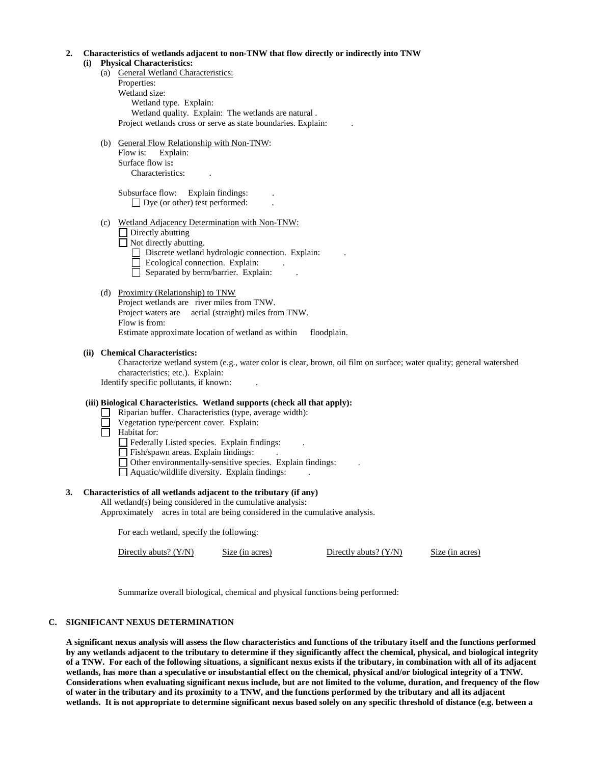#### **2. Characteristics of wetlands adjacent to non-TNW that flow directly or indirectly into TNW (i) Physical Characteristics:**

- (a) General Wetland Characteristics: Properties: Wetland size: Wetland type. Explain: Wetland quality. Explain: The wetlands are natural . Project wetlands cross or serve as state boundaries. Explain: .
- (b) General Flow Relationship with Non-TNW: Flow is: Explain: Surface flow is**:** Characteristics: .

Subsurface flow: Explain findings:  $\Box$  Dye (or other) test performed:

(c) Wetland Adjacency Determination with Non-TNW:

 $\Box$  Directly abutting  $\Box$  Not directly abutting.

- Discrete wetland hydrologic connection. Explain:
- $\Box$  Ecological connection. Explain:
- $\Box$  Separated by berm/barrier. Explain:

### (d) Proximity (Relationship) to TNW

Project wetlands are river miles from TNW. Project waters are aerial (straight) miles from TNW. Flow is from: Estimate approximate location of wetland as within floodplain.

### **(ii) Chemical Characteristics:**

Characterize wetland system (e.g., water color is clear, brown, oil film on surface; water quality; general watershed characteristics; etc.). Explain:

Identify specific pollutants, if known: .

#### **(iii) Biological Characteristics. Wetland supports (check all that apply):**

- Riparian buffer. Characteristics (type, average width):
- Vegetation type/percent cover. Explain:
- $\Box$ Habitat for:
	- $\Box$  Federally Listed species. Explain findings:
	- Fish/spawn areas. Explain findings: .
	- Other environmentally-sensitive species. Explain findings: .
	- $\Box$  Aquatic/wildlife diversity. Explain findings:

### **3. Characteristics of all wetlands adjacent to the tributary (if any)**

All wetland(s) being considered in the cumulative analysis:

Approximately acres in total are being considered in the cumulative analysis.

For each wetland, specify the following:

Directly abuts? (Y/N) Size (in acres) Directly abuts? (Y/N) Size (in acres)

Summarize overall biological, chemical and physical functions being performed:

### **C. SIGNIFICANT NEXUS DETERMINATION**

**A significant nexus analysis will assess the flow characteristics and functions of the tributary itself and the functions performed by any wetlands adjacent to the tributary to determine if they significantly affect the chemical, physical, and biological integrity of a TNW. For each of the following situations, a significant nexus exists if the tributary, in combination with all of its adjacent wetlands, has more than a speculative or insubstantial effect on the chemical, physical and/or biological integrity of a TNW. Considerations when evaluating significant nexus include, but are not limited to the volume, duration, and frequency of the flow of water in the tributary and its proximity to a TNW, and the functions performed by the tributary and all its adjacent wetlands. It is not appropriate to determine significant nexus based solely on any specific threshold of distance (e.g. between a**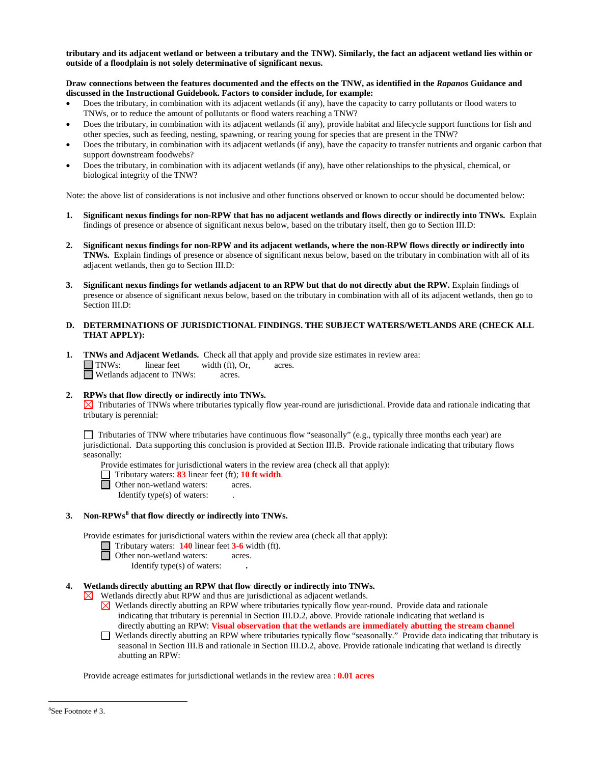**tributary and its adjacent wetland or between a tributary and the TNW). Similarly, the fact an adjacent wetland lies within or outside of a floodplain is not solely determinative of significant nexus.** 

#### **Draw connections between the features documented and the effects on the TNW, as identified in the** *Rapanos* **Guidance and discussed in the Instructional Guidebook. Factors to consider include, for example:**

- Does the tributary, in combination with its adjacent wetlands (if any), have the capacity to carry pollutants or flood waters to TNWs, or to reduce the amount of pollutants or flood waters reaching a TNW?
- Does the tributary, in combination with its adjacent wetlands (if any), provide habitat and lifecycle support functions for fish and other species, such as feeding, nesting, spawning, or rearing young for species that are present in the TNW?
- Does the tributary, in combination with its adjacent wetlands (if any), have the capacity to transfer nutrients and organic carbon that support downstream foodwebs?
- Does the tributary, in combination with its adjacent wetlands (if any), have other relationships to the physical, chemical, or biological integrity of the TNW?

Note: the above list of considerations is not inclusive and other functions observed or known to occur should be documented below:

- **1. Significant nexus findings for non-RPW that has no adjacent wetlands and flows directly or indirectly into TNWs.** Explain findings of presence or absence of significant nexus below, based on the tributary itself, then go to Section III.D:
- **2. Significant nexus findings for non-RPW and its adjacent wetlands, where the non-RPW flows directly or indirectly into TNWs.** Explain findings of presence or absence of significant nexus below, based on the tributary in combination with all of its adjacent wetlands, then go to Section III.D:
- **3. Significant nexus findings for wetlands adjacent to an RPW but that do not directly abut the RPW.** Explain findings of presence or absence of significant nexus below, based on the tributary in combination with all of its adjacent wetlands, then go to Section III.D:
- **D. DETERMINATIONS OF JURISDICTIONAL FINDINGS. THE SUBJECT WATERS/WETLANDS ARE (CHECK ALL THAT APPLY):**
- **1. TNWs and Adjacent Wetlands.** Check all that apply and provide size estimates in review area:<br>
TNWs: linear feet width (ft). Or. acres. width  $(ft)$ , Or, □ Wetlands adjacent to TNWs: acres.
- **2. RPWs that flow directly or indirectly into TNWs.**

 $\boxtimes$  Tributaries of TNWs where tributaries typically flow year-round are jurisdictional. Provide data and rationale indicating that tributary is perennial:

Tributaries of TNW where tributaries have continuous flow "seasonally" (e.g., typically three months each year) are jurisdictional. Data supporting this conclusion is provided at Section III.B. Provide rationale indicating that tributary flows seasonally:

Provide estimates for jurisdictional waters in the review area (check all that apply):

- Tributary waters: **83** linear feet (ft); **10 ft width**.
- Other non-wetland waters: acres.

Identify type(s) of waters: .

### **3. Non-RPWs[8](#page-4-0) that flow directly or indirectly into TNWs.**

Provide estimates for jurisdictional waters within the review area (check all that apply):

- Tributary waters: **140** linear feet **3-6** width (ft). **a** Tributary waters: **140** lines
	-

Identify type(s) of waters: **.**

### **4. Wetlands directly abutting an RPW that flow directly or indirectly into TNWs.**

 $\boxtimes$  Wetlands directly abut RPW and thus are jurisdictional as adjacent wetlands.

- $\boxtimes$  Wetlands directly abutting an RPW where tributaries typically flow year-round. Provide data and rationale indicating that tributary is perennial in Section III.D.2, above. Provide rationale indicating that wetland is directly abutting an RPW: **Visual observation that the wetlands are immediately abutting the stream channel**
- Wetlands directly abutting an RPW where tributaries typically flow "seasonally." Provide data indicating that tributary is seasonal in Section III.B and rationale in Section III.D.2, above. Provide rationale indicating that wetland is directly abutting an RPW:

<span id="page-4-0"></span>Provide acreage estimates for jurisdictional wetlands in the review area : **0.01 acres**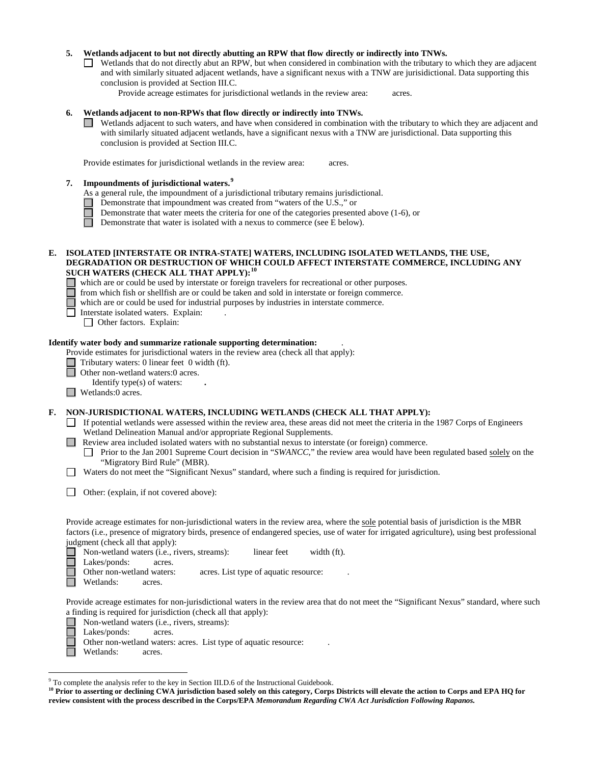#### **5. Wetlands adjacent to but not directly abutting an RPW that flow directly or indirectly into TNWs.**

- Wetlands that do not directly abut an RPW, but when considered in combination with the tributary to which they are adjacent and with similarly situated adjacent wetlands, have a significant nexus with a TNW are jurisidictional. Data supporting this conclusion is provided at Section III.C.
	- Provide acreage estimates for jurisdictional wetlands in the review area: acres.

### **6. Wetlands adjacent to non-RPWs that flow directly or indirectly into TNWs.**

Wetlands adjacent to such waters, and have when considered in combination with the tributary to which they are adjacent and with similarly situated adjacent wetlands, have a significant nexus with a TNW are jurisdictional. Data supporting this conclusion is provided at Section III.C.

Provide estimates for jurisdictional wetlands in the review area: acres.

### **7. Impoundments of jurisdictional waters. [9](#page-5-0)**

As a general rule, the impoundment of a jurisdictional tributary remains jurisdictional.

- Demonstrate that impoundment was created from "waters of the U.S.," or
- Demonstrate that water meets the criteria for one of the categories presented above (1-6), or
- $\Box$ Demonstrate that water is isolated with a nexus to commerce (see E below).

#### **E. ISOLATED [INTERSTATE OR INTRA-STATE] WATERS, INCLUDING ISOLATED WETLANDS, THE USE, DEGRADATION OR DESTRUCTION OF WHICH COULD AFFECT INTERSTATE COMMERCE, INCLUDING ANY SUCH WATERS (CHECK ALL THAT APPLY):[10](#page-5-1)**

- which are or could be used by interstate or foreign travelers for recreational or other purposes.
- from which fish or shellfish are or could be taken and sold in interstate or foreign commerce.

which are or could be used for industrial purposes by industries in interstate commerce.

 $\Box$ Interstate isolated waters.Explain: .

Other factors.Explain:

#### **Identify water body and summarize rationale supporting determination:** .

Provide estimates for jurisdictional waters in the review area (check all that apply):

- Tributary waters: 0 linear feet 0 width (ft).
- $\Box$ Other non-wetland waters:0 acres.
	- Identify type(s) of waters: **.**
- Wetlands:0 acres.

#### **F. NON-JURISDICTIONAL WATERS, INCLUDING WETLANDS (CHECK ALL THAT APPLY):**

- If potential wetlands were assessed within the review area, these areas did not meet the criteria in the 1987 Corps of Engineers Wetland Delineation Manual and/or appropriate Regional Supplements.
- **Review area included isolated waters with no substantial nexus to interstate (or foreign) commerce.** 
	- Prior to the Jan 2001 Supreme Court decision in "*SWANCC*," the review area would have been regulated based solely on the "Migratory Bird Rule" (MBR).
- Waters do not meet the "Significant Nexus" standard, where such a finding is required for jurisdiction.
- Other: (explain, if not covered above):

Provide acreage estimates for non-jurisdictional waters in the review area, where the sole potential basis of jurisdiction is the MBR factors (i.e., presence of migratory birds, presence of endangered species, use of water for irrigated agriculture), using best professional judgment (check all that apply):

Non-wetland waters (i.e., rivers, streams): linear feet width (ft).  $\Box$ 

Lakes/ponds: acres.

Other non-wetland waters: acres. List type of aquatic resource:

Wetlands: acres.

Provide acreage estimates for non-jurisdictional waters in the review area that do not meet the "Significant Nexus" standard, where such a finding is required for jurisdiction (check all that apply):

Non-wetland waters (i.e., rivers, streams):

- Lakes/ponds: acres.
- Other non-wetland waters: acres. List type of aquatic resource:

Wetlands: acres.

<span id="page-5-0"></span> <sup>9</sup> To complete the analysis refer to the key in Section III.D.6 of the Instructional Guidebook.

<span id="page-5-1"></span><sup>&</sup>lt;sup>10</sup> Prior to asserting or declining CWA jurisdiction based solely on this category, Corps Districts will elevate the action to Corps and EPA HQ for **review consistent with the process described in the Corps/EPA** *Memorandum Regarding CWA Act Jurisdiction Following Rapanos.*